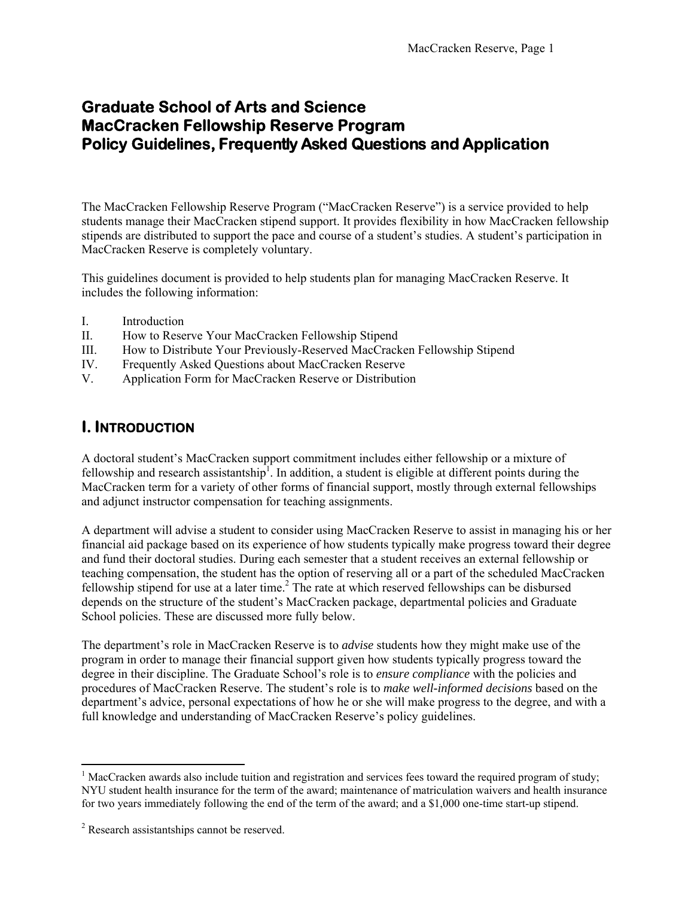# **Graduate School of Arts and Science MacCracken Fellowship Reserve Program Policy Guidelines, Frequently Asked Questions and Application**

The MacCracken Fellowship Reserve Program ("MacCracken Reserve") is a service provided to help students manage their MacCracken stipend support. It provides flexibility in how MacCracken fellowship stipends are distributed to support the pace and course of a student's studies. A student's participation in MacCracken Reserve is completely voluntary.

This guidelines document is provided to help students plan for managing MacCracken Reserve. It includes the following information:

- I. Introduction
- II. How to Reserve Your MacCracken Fellowship Stipend
- III. How to Distribute Your Previously-Reserved MacCracken Fellowship Stipend
- IV. Frequently Asked Questions about MacCracken Reserve
- V. Application Form for MacCracken Reserve or Distribution

## **I. INTRODUCTION**

A doctoral student's MacCracken support commitment includes either fellowship or a mixture of fellowship and research assistantship<sup>1</sup>. In addition, a student is eligible at different points during the MacCracken term for a variety of other forms of financial support, mostly through external fellowships and adjunct instructor compensation for teaching assignments.

A department will advise a student to consider using MacCracken Reserve to assist in managing his or her financial aid package based on its experience of how students typically make progress toward their degree and fund their doctoral studies. During each semester that a student receives an external fellowship or teaching compensation, the student has the option of reserving all or a part of the scheduled MacCracken fellowship stipend for use at a later time.<sup>2</sup> The rate at which reserved fellowships can be disbursed depends on the structure of the student's MacCracken package, departmental policies and Graduate School policies. These are discussed more fully below.

The department's role in MacCracken Reserve is to *advise* students how they might make use of the program in order to manage their financial support given how students typically progress toward the degree in their discipline. The Graduate School's role is to *ensure compliance* with the policies and procedures of MacCracken Reserve. The student's role is to *make well-informed decisions* based on the department's advice, personal expectations of how he or she will make progress to the degree, and with a full knowledge and understanding of MacCracken Reserve's policy guidelines.

<sup>&</sup>lt;sup>1</sup> MacCracken awards also include tuition and registration and services fees toward the required program of study; NYU student health insurance for the term of the award; maintenance of matriculation waivers and health insurance for two years immediately following the end of the term of the award; and a \$1,000 one-time start-up stipend.

<sup>&</sup>lt;sup>2</sup> Research assistantships cannot be reserved.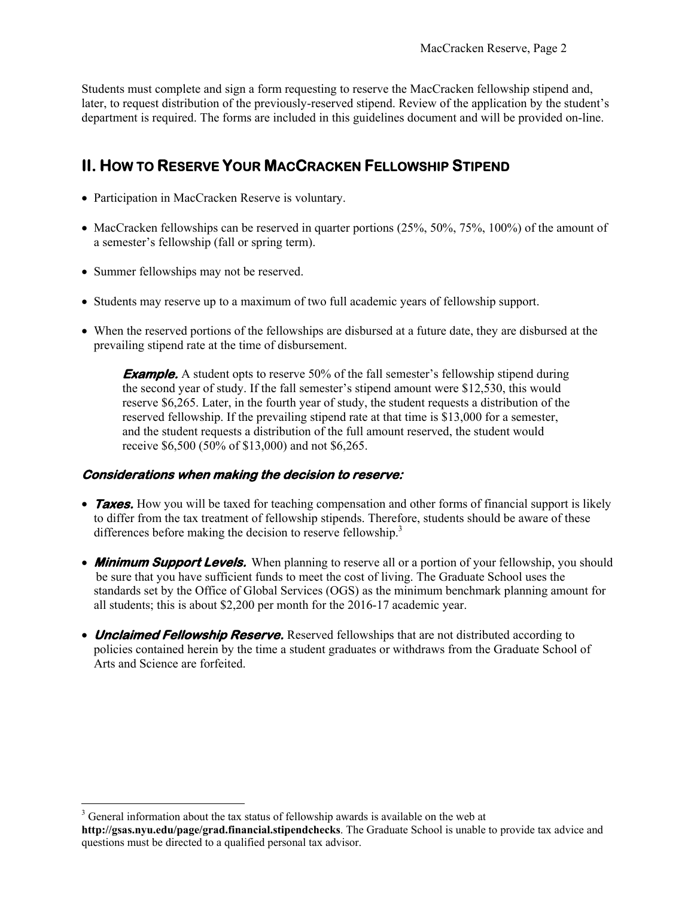Students must complete and sign a form requesting to reserve the MacCracken fellowship stipend and, later, to request distribution of the previously-reserved stipend. Review of the application by the student's department is required. The forms are included in this guidelines document and will be provided on-line.

# **II. HOW TO RESERVE YOUR MACCRACKEN FELLOWSHIP STIPEND**

- Participation in MacCracken Reserve is voluntary.
- MacCracken fellowships can be reserved in quarter portions  $(25\%, 50\%, 75\%, 100\%)$  of the amount of a semester's fellowship (fall or spring term).
- Summer fellowships may not be reserved.
- Students may reserve up to a maximum of two full academic years of fellowship support.
- When the reserved portions of the fellowships are disbursed at a future date, they are disbursed at the prevailing stipend rate at the time of disbursement.

**Example.** A student opts to reserve 50% of the fall semester's fellowship stipend during the second year of study. If the fall semester's stipend amount were \$12,530, this would reserve \$6,265. Later, in the fourth year of study, the student requests a distribution of the reserved fellowship. If the prevailing stipend rate at that time is \$13,000 for a semester, and the student requests a distribution of the full amount reserved, the student would receive \$6,500 (50% of \$13,000) and not \$6,265.

#### **Considerations when making the decision to reserve:**

- **Taxes.** How you will be taxed for teaching compensation and other forms of financial support is likely to differ from the tax treatment of fellowship stipends. Therefore, students should be aware of these differences before making the decision to reserve fellowship.<sup>3</sup>
- **Minimum Support Levels.** When planning to reserve all or a portion of your fellowship, you should be sure that you have sufficient funds to meet the cost of living. The Graduate School uses the standards set by the Office of Global Services (OGS) as the minimum benchmark planning amount for all students; this is about \$2,200 per month for the 2016-17 academic year.
- **Unclaimed Fellowship Reserve.** Reserved fellowships that are not distributed according to policies contained herein by the time a student graduates or withdraws from the Graduate School of Arts and Science are forfeited.

<sup>&</sup>lt;sup>3</sup> General information about the tax status of fellowship awards is available on the web at **http://gsas.nyu.edu/page/grad.financial.stipendchecks**. The Graduate School is unable to provide tax advice and questions must be directed to a qualified personal tax advisor.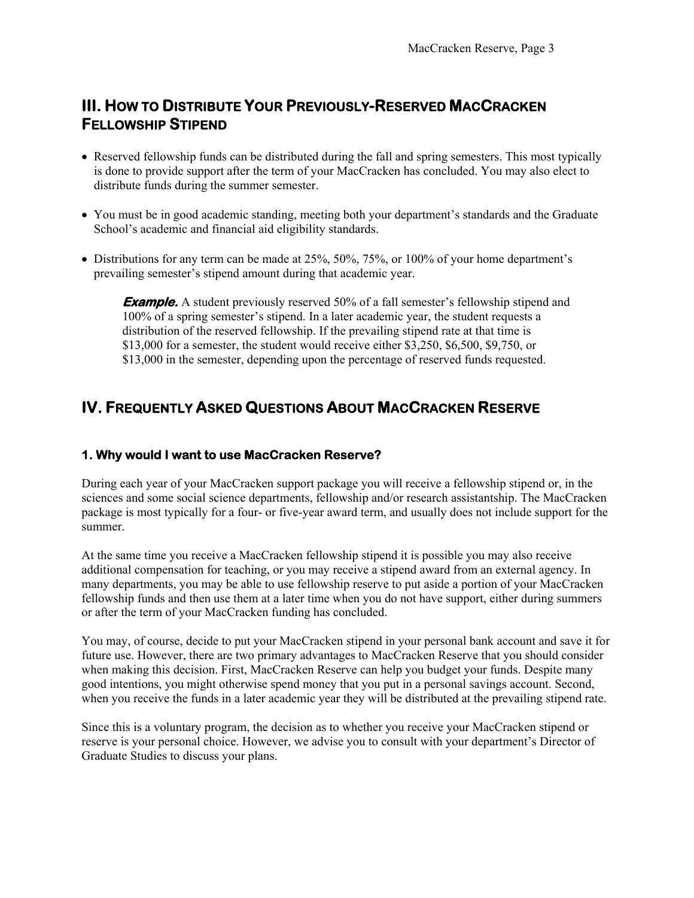## **III. HOW TO DISTRIBUTE YOUR PREVIOUSLY-RESERVED MACCRACKEN FELLOWSHIP STIPEND**

- Reserved fellowship funds can be distributed during the fall and spring semesters. This most typically is done to provide support after the term of your MacCracken has concluded. You may also elect to distribute funds during the summer semester.
- You must be in good academic standing, meeting both your department's standards and the Graduate School's academic and financial aid eligibility standards.
- Distributions for any term can be made at 25%, 50%, 75%, or 100% of your home department's prevailing semester's stipend amount during that academic year.

**Example.** A student previously reserved 50% of a fall semester's fellowship stipend and 100% of a spring semester's stipend. In a later academic year, the student requests a distribution of the reserved fellowship. If the prevailing stipend rate at that time is \$13,000 for a semester, the student would receive either \$3,250, \$6,500, \$9,750, or \$13,000 in the semester, depending upon the percentage of reserved funds requested.

# **IV. FREQUENTLY ASKED QUESTIONS ABOUT MACCRACKEN RESERVE**

#### **1. Why would I want to use MacCracken Reserve?**

During each year of your MacCracken support package you will receive a fellowship stipend or, in the sciences and some social science departments, fellowship and/or research assistantship. The MacCracken package is most typically for a four- or five-year award term, and usually does not include support for the summer.

At the same time you receive a MacCracken fellowship stipend it is possible you may also receive additional compensation for teaching, or you may receive a stipend award from an external agency. In many departments, you may be able to use fellowship reserve to put aside a portion of your MacCracken fellowship funds and then use them at a later time when you do not have support, either during summers or after the term of your MacCracken funding has concluded.

You may, of course, decide to put your MacCracken stipend in your personal bank account and save it for future use. However, there are two primary advantages to MacCracken Reserve that you should consider when making this decision. First, MacCracken Reserve can help you budget your funds. Despite many good intentions, you might otherwise spend money that you put in a personal savings account. Second, when you receive the funds in a later academic year they will be distributed at the prevailing stipend rate.

Since this is a voluntary program, the decision as to whether you receive your MacCracken stipend or reserve is your personal choice. However, we advise you to consult with your department's Director of Graduate Studies to discuss your plans.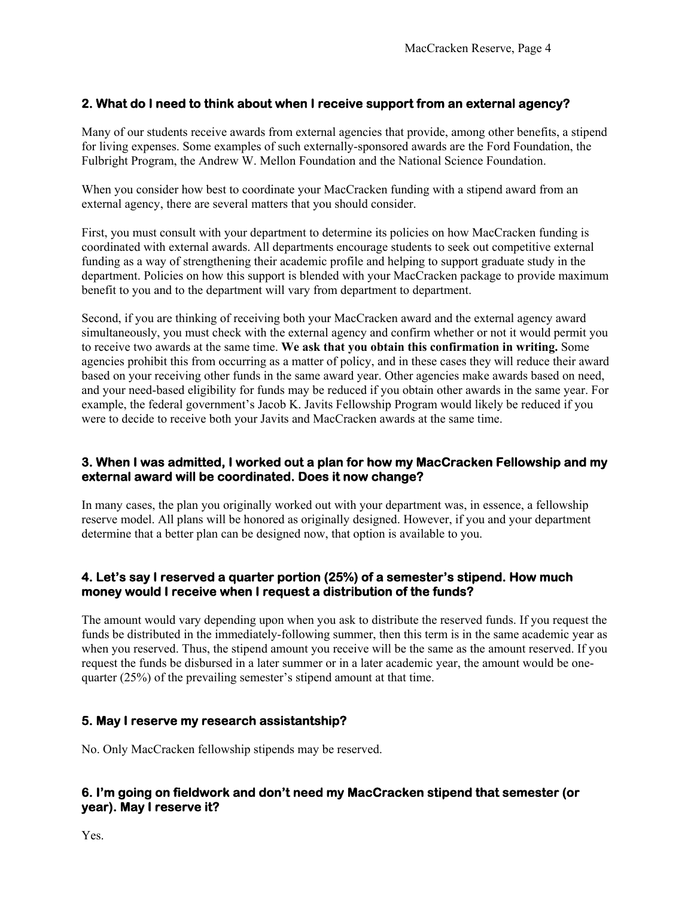## **2. What do I need to think about when I receive support from an external agency?**

Many of our students receive awards from external agencies that provide, among other benefits, a stipend for living expenses. Some examples of such externally-sponsored awards are the Ford Foundation, the Fulbright Program, the Andrew W. Mellon Foundation and the National Science Foundation.

When you consider how best to coordinate your MacCracken funding with a stipend award from an external agency, there are several matters that you should consider.

First, you must consult with your department to determine its policies on how MacCracken funding is coordinated with external awards. All departments encourage students to seek out competitive external funding as a way of strengthening their academic profile and helping to support graduate study in the department. Policies on how this support is blended with your MacCracken package to provide maximum benefit to you and to the department will vary from department to department.

Second, if you are thinking of receiving both your MacCracken award and the external agency award simultaneously, you must check with the external agency and confirm whether or not it would permit you to receive two awards at the same time. **We ask that you obtain this confirmation in writing.** Some agencies prohibit this from occurring as a matter of policy, and in these cases they will reduce their award based on your receiving other funds in the same award year. Other agencies make awards based on need, and your need-based eligibility for funds may be reduced if you obtain other awards in the same year. For example, the federal government's Jacob K. Javits Fellowship Program would likely be reduced if you were to decide to receive both your Javits and MacCracken awards at the same time.

#### **3. When I was admitted, I worked out a plan for how my MacCracken Fellowship and my external award will be coordinated. Does it now change?**

In many cases, the plan you originally worked out with your department was, in essence, a fellowship reserve model. All plans will be honored as originally designed. However, if you and your department determine that a better plan can be designed now, that option is available to you.

#### **4. Let's say I reserved a quarter portion (25%) of a semester's stipend. How much money would I receive when I request a distribution of the funds?**

The amount would vary depending upon when you ask to distribute the reserved funds. If you request the funds be distributed in the immediately-following summer, then this term is in the same academic year as when you reserved. Thus, the stipend amount you receive will be the same as the amount reserved. If you request the funds be disbursed in a later summer or in a later academic year, the amount would be onequarter (25%) of the prevailing semester's stipend amount at that time.

#### **5. May I reserve my research assistantship?**

No. Only MacCracken fellowship stipends may be reserved.

#### **6. I'm going on fieldwork and don't need my MacCracken stipend that semester (or year). May I reserve it?**

Yes.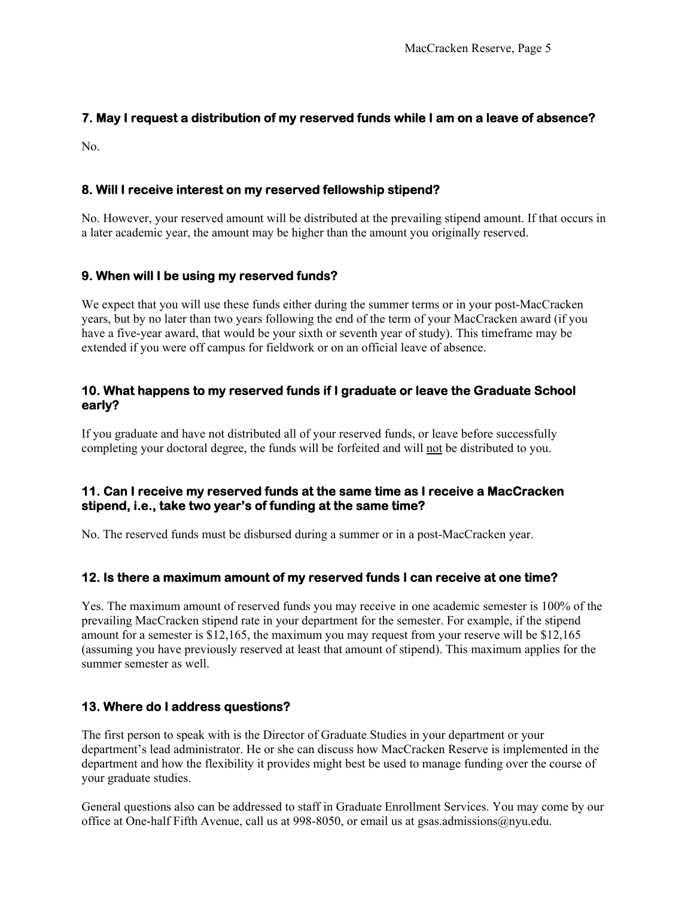#### **7. May I request a distribution of my reserved funds while I am on a leave of absence?**

No.

#### **8. Will I receive interest on my reserved fellowship stipend?**

No. However, your reserved amount will be distributed at the prevailing stipend amount. If that occurs in a later academic year, the amount may be higher than the amount you originally reserved.

## **9. When will I be using my reserved funds?**

We expect that you will use these funds either during the summer terms or in your post-MacCracken years, but by no later than two years following the end of the term of your MacCracken award (if you have a five-year award, that would be your sixth or seventh year of study). This timeframe may be extended if you were off campus for fieldwork or on an official leave of absence.

#### **10. What happens to my reserved funds if I graduate or leave the Graduate School early?**

If you graduate and have not distributed all of your reserved funds, or leave before successfully completing your doctoral degree, the funds will be forfeited and will not be distributed to you.

#### **11. Can I receive my reserved funds at the same time as I receive a MacCracken stipend, i.e., take two year's of funding at the same time?**

No. The reserved funds must be disbursed during a summer or in a post-MacCracken year.

#### **12. Is there a maximum amount of my reserved funds I can receive at one time?**

Yes. The maximum amount of reserved funds you may receive in one academic semester is 100% of the prevailing MacCracken stipend rate in your department for the semester. For example, if the stipend amount for a semester is \$12,165, the maximum you may request from your reserve will be \$12,165 (assuming you have previously reserved at least that amount of stipend). This maximum applies for the summer semester as well.

#### **13. Where do I address questions?**

The first person to speak with is the Director of Graduate Studies in your department or your department's lead administrator. He or she can discuss how MacCracken Reserve is implemented in the department and how the flexibility it provides might best be used to manage funding over the course of your graduate studies.

General questions also can be addressed to staff in Graduate Enrollment Services. You may come by our office at One-half Fifth Avenue, call us at 998-8050, or email us at gsas.admissions@nyu.edu.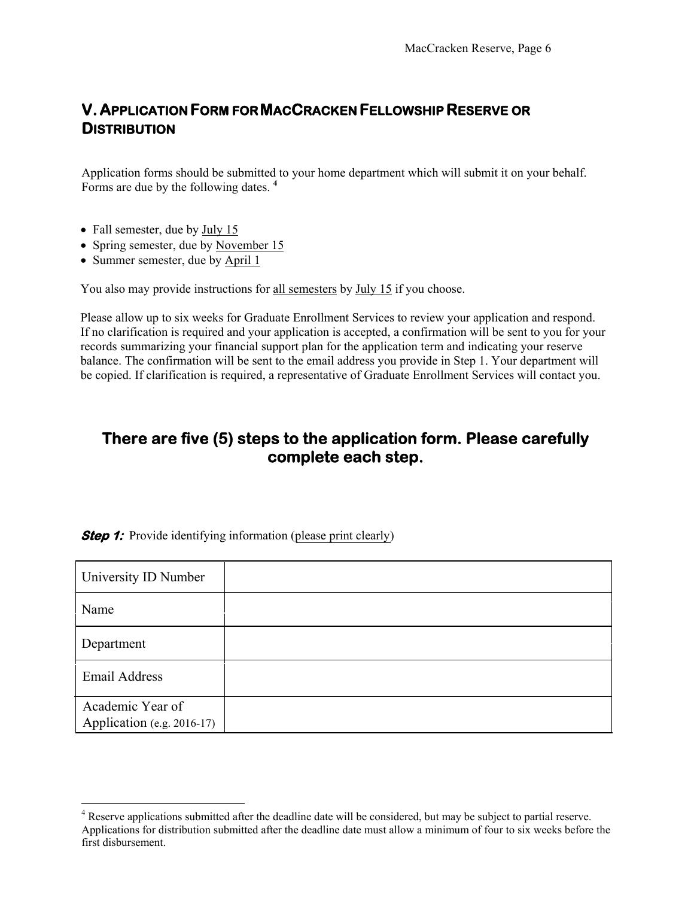# **V.APPLICATION FORM FOR MACCRACKEN FELLOWSHIP RESERVE OR DISTRIBUTION**

Application forms should be submitted to your home department which will submit it on your behalf. Forms are due by the following dates. **<sup>4</sup>**

- Fall semester, due by July 15
- Spring semester, due by November 15
- Summer semester, due by April 1

You also may provide instructions for all semesters by July 15 if you choose.

Please allow up to six weeks for Graduate Enrollment Services to review your application and respond. If no clarification is required and your application is accepted, a confirmation will be sent to you for your records summarizing your financial support plan for the application term and indicating your reserve balance. The confirmation will be sent to the email address you provide in Step 1. Your department will be copied. If clarification is required, a representative of Graduate Enrollment Services will contact you.

## **There are five (5) steps to the application form. Please carefully complete each step.**

**Step 1:** Provide identifying information (please print clearly)

| University ID Number                           |  |
|------------------------------------------------|--|
| Name                                           |  |
| Department                                     |  |
| <b>Email Address</b>                           |  |
| Academic Year of<br>Application (e.g. 2016-17) |  |

<sup>&</sup>lt;sup>4</sup> Reserve applications submitted after the deadline date will be considered, but may be subject to partial reserve. Applications for distribution submitted after the deadline date must allow a minimum of four to six weeks before the first disbursement.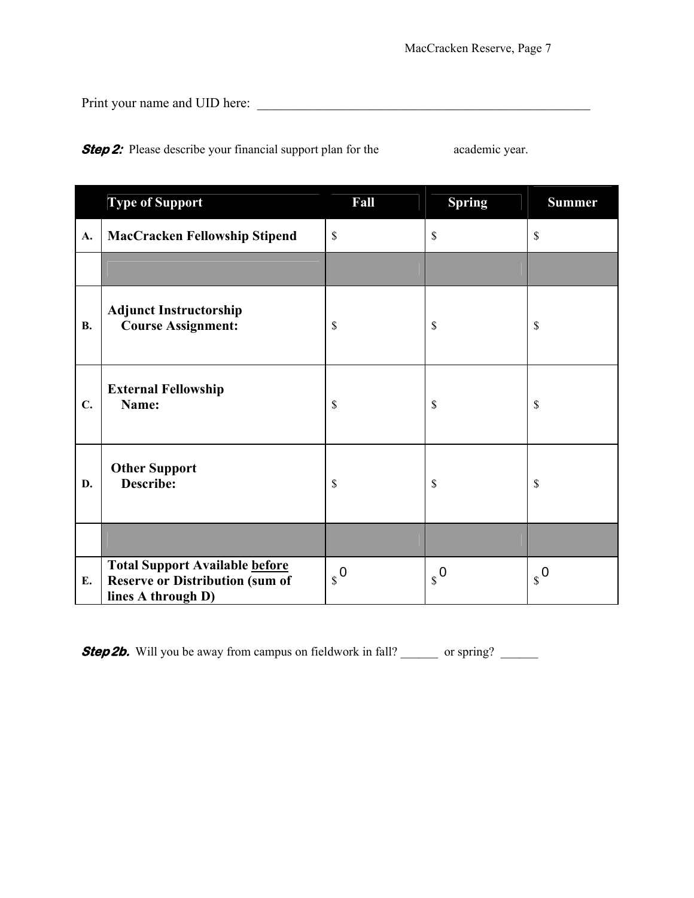Print your name and UID here: \_\_\_\_\_\_\_\_\_\_\_\_\_\_\_\_\_\_\_\_\_\_\_\_\_\_\_\_\_\_\_\_\_\_\_\_\_\_\_\_\_\_\_\_\_\_\_\_\_

**Step 2:** Please describe your financial support plan for the academic year.

|           | <b>Type of Support</b>                                                                                | Fall                   | <b>Spring</b> | <b>Summer</b> |
|-----------|-------------------------------------------------------------------------------------------------------|------------------------|---------------|---------------|
| A.        | <b>MacCracken Fellowship Stipend</b>                                                                  | $\mathsf{\$}$          | $\mathsf{\$}$ | \$            |
|           |                                                                                                       |                        |               |               |
| <b>B.</b> | <b>Adjunct Instructorship</b><br><b>Course Assignment:</b>                                            | \$                     | \$            | \$            |
| C.        | <b>External Fellowship</b><br>Name:                                                                   | \$                     | \$            | \$            |
| D.        | <b>Other Support</b><br><b>Describe:</b>                                                              | $\mathbb{S}$           | \$            | \$            |
|           |                                                                                                       |                        |               |               |
| E.        | <b>Total Support Available before</b><br><b>Reserve or Distribution (sum of</b><br>lines A through D) | $\boldsymbol{s}^{\,0}$ | $\int_{S}$    | $\int_{S}$    |

**Step 2b.** Will you be away from campus on fieldwork in fall? \_\_\_\_\_\_ or spring? \_\_\_\_\_\_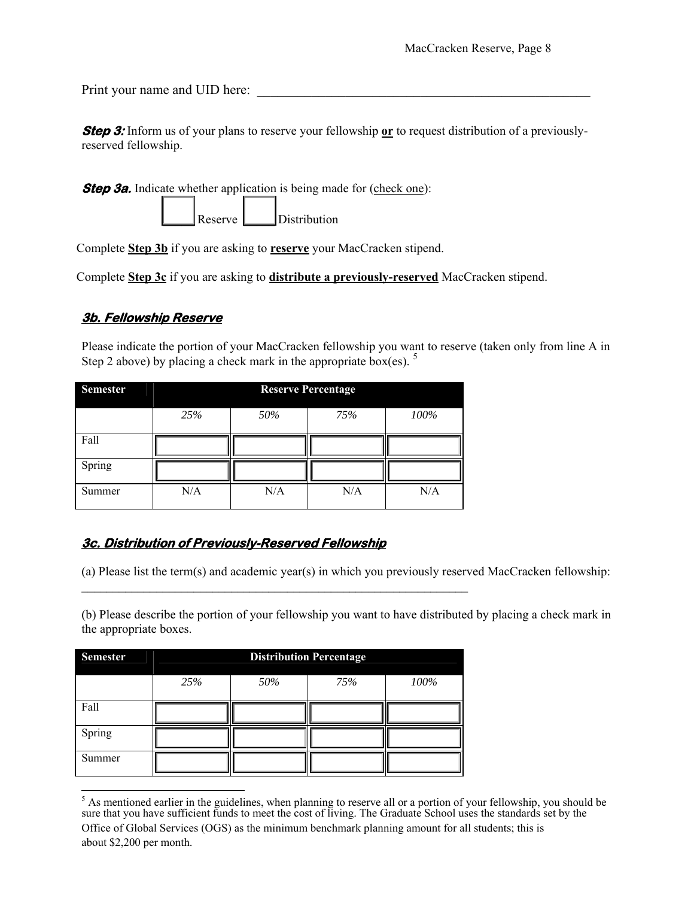Print your name and UID here:

**Step 3:** Inform us of your plans to reserve your fellowship or to request distribution of a previouslyreserved fellowship.

**Step 3a.** Indicate whether application is being made for (check one):

Reserve **L** Distribution

Complete **Step 3b** if you are asking to **reserve** your MacCracken stipend.

Complete **Step 3c** if you are asking to **distribute a previously-reserved** MacCracken stipend.

## **3b. Fellowship Reserve**

Please indicate the portion of your MacCracken fellowship you want to reserve (taken only from line A in Step 2 above) by placing a check mark in the appropriate box(es).  $5$ 

| <b>Semester</b> | <b>Reserve Percentage</b> |     |     |      |
|-----------------|---------------------------|-----|-----|------|
|                 | 25%                       | 50% | 75% | 100% |
| Fall            |                           |     |     |      |
| Spring          |                           |     |     |      |
| Summer          | N/A                       | N/A | N/A | N/A  |

## **3c. Distribution of Previously-Reserved Fellowship**

(a) Please list the term(s) and academic year(s) in which you previously reserved MacCracken fellowship:

(b) Please describe the portion of your fellowship you want to have distributed by placing a check mark in the appropriate boxes.

| <b>Semester</b> | <b>Distribution Percentage</b> |     |     |      |
|-----------------|--------------------------------|-----|-----|------|
|                 | 25%                            | 50% | 75% | 100% |
| Fall            |                                |     |     |      |
| Spring          |                                |     |     |      |
| Summer          |                                |     |     |      |

 $\mathcal{L}_\text{max} = \mathcal{L}_\text{max} = \mathcal{L}_\text{max} = \mathcal{L}_\text{max} = \mathcal{L}_\text{max} = \mathcal{L}_\text{max} = \mathcal{L}_\text{max} = \mathcal{L}_\text{max} = \mathcal{L}_\text{max} = \mathcal{L}_\text{max} = \mathcal{L}_\text{max} = \mathcal{L}_\text{max} = \mathcal{L}_\text{max} = \mathcal{L}_\text{max} = \mathcal{L}_\text{max} = \mathcal{L}_\text{max} = \mathcal{L}_\text{max} = \mathcal{L}_\text{max} = \mathcal{$ 

 $<sup>5</sup>$  As mentioned earlier in the guidelines, when planning to reserve all or a portion of your fellowship, you should be</sup> sure that you have sufficient funds to meet the cost of living. The Graduate School uses the standards set by the Office of Global Services (OGS) as the minimum benchmark planning amount for all students; this is about \$2,200 per month.